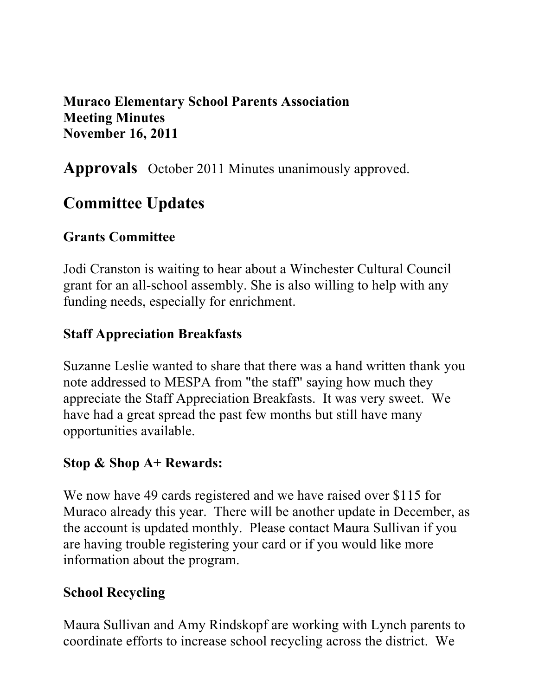#### **Muraco Elementary School Parents Association Meeting Minutes November 16, 2011**

**Approvals** October 2011 Minutes unanimously approved.

# **Committee Updates**

#### **Grants Committee**

Jodi Cranston is waiting to hear about a Winchester Cultural Council grant for an all-school assembly. She is also willing to help with any funding needs, especially for enrichment.

#### **Staff Appreciation Breakfasts**

Suzanne Leslie wanted to share that there was a hand written thank you note addressed to MESPA from "the staff" saying how much they appreciate the Staff Appreciation Breakfasts. It was very sweet. We have had a great spread the past few months but still have many opportunities available.

#### **Stop & Shop A+ Rewards:**

We now have 49 cards registered and we have raised over \$115 for Muraco already this year. There will be another update in December, as the account is updated monthly. Please contact Maura Sullivan if you are having trouble registering your card or if you would like more information about the program.

#### **School Recycling**

Maura Sullivan and Amy Rindskopf are working with Lynch parents to coordinate efforts to increase school recycling across the district. We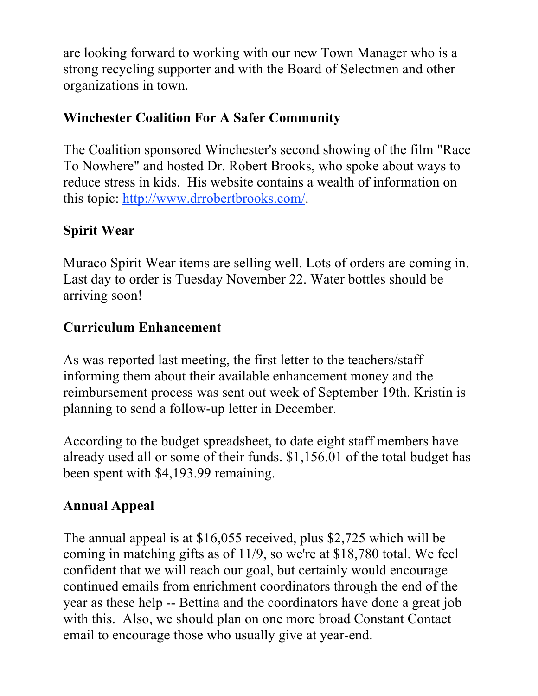are looking forward to working with our new Town Manager who is a strong recycling supporter and with the Board of Selectmen and other organizations in town.

## **Winchester Coalition For A Safer Community**

The Coalition sponsored Winchester's second showing of the film "Race To Nowhere" and hosted Dr. Robert Brooks, who spoke about ways to reduce stress in kids. His website contains a wealth of information on this topic: http://www.drrobertbrooks.com/.

## **Spirit Wear**

Muraco Spirit Wear items are selling well. Lots of orders are coming in. Last day to order is Tuesday November 22. Water bottles should be arriving soon!

## **Curriculum Enhancement**

As was reported last meeting, the first letter to the teachers/staff informing them about their available enhancement money and the reimbursement process was sent out week of September 19th. Kristin is planning to send a follow-up letter in December.

According to the budget spreadsheet, to date eight staff members have already used all or some of their funds. \$1,156.01 of the total budget has been spent with \$4,193.99 remaining.

## **Annual Appeal**

The annual appeal is at \$16,055 received, plus \$2,725 which will be coming in matching gifts as of 11/9, so we're at \$18,780 total. We feel confident that we will reach our goal, but certainly would encourage continued emails from enrichment coordinators through the end of the year as these help -- Bettina and the coordinators have done a great job with this. Also, we should plan on one more broad Constant Contact email to encourage those who usually give at year-end.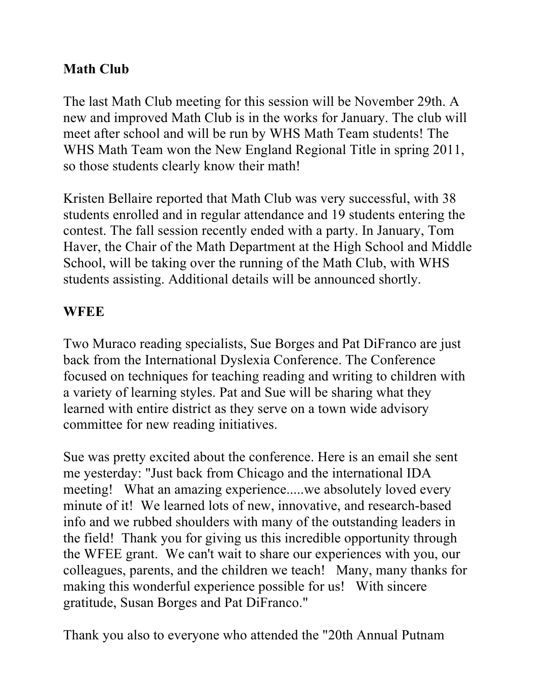#### **Math Club**

The last Math Club meeting for this session will be November 29th. A new and improved Math Club is in the works for January. The club will meet after school and will be run by WHS Math Team students! The WHS Math Team won the New England Regional Title in spring 2011, so those students clearly know their math!

Kristen Bellaire reported that Math Club was very successful, with 38 students enrolled and in regular attendance and 19 students entering the contest. The fall session recently ended with a party. In January, Tom Haver, the Chair of the Math Department at the High School and Middle School, will be taking over the running of the Math Club, with WHS students assisting. Additional details will be announced shortly.

#### **WFEE**

Two Muraco reading specialists, Sue Borges and Pat DiFranco are just back from the International Dyslexia Conference. The Conference focused on techniques for teaching reading and writing to children with a variety of learning styles. Pat and Sue will be sharing what they learned with entire district as they serve on a town wide advisory committee for new reading initiatives.

Sue was pretty excited about the conference. Here is an email she sent me yesterday: "Just back from Chicago and the international IDA meeting! What an amazing experience.....we absolutely loved every minute of it! We learned lots of new, innovative, and research-based info and we rubbed shoulders with many of the outstanding leaders in the field! Thank you for giving us this incredible opportunity through the WFEE grant. We can't wait to share our experiences with you, our colleagues, parents, and the children we teach! Many, many thanks for making this wonderful experience possible for us! With sincere gratitude, Susan Borges and Pat DiFranco."

Thank you also to everyone who attended the "20th Annual Putnam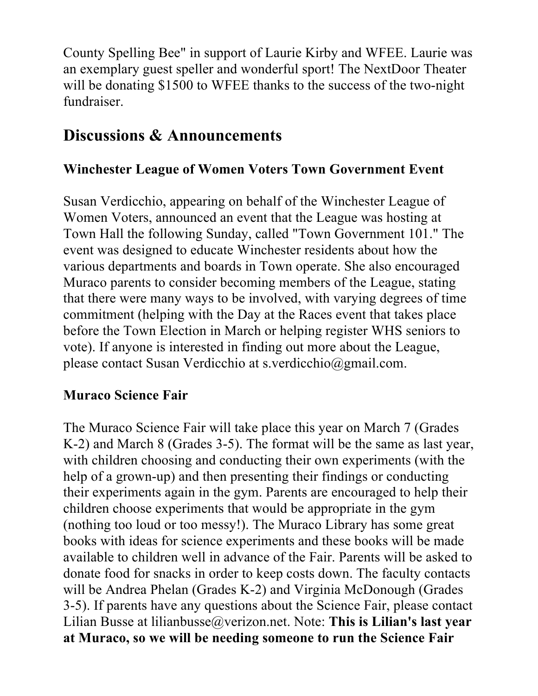County Spelling Bee" in support of Laurie Kirby and WFEE. Laurie was an exemplary guest speller and wonderful sport! The NextDoor Theater will be donating \$1500 to WFEE thanks to the success of the two-night fundraiser.

## **Discussions & Announcements**

#### **Winchester League of Women Voters Town Government Event**

Susan Verdicchio, appearing on behalf of the Winchester League of Women Voters, announced an event that the League was hosting at Town Hall the following Sunday, called "Town Government 101." The event was designed to educate Winchester residents about how the various departments and boards in Town operate. She also encouraged Muraco parents to consider becoming members of the League, stating that there were many ways to be involved, with varying degrees of time commitment (helping with the Day at the Races event that takes place before the Town Election in March or helping register WHS seniors to vote). If anyone is interested in finding out more about the League, please contact Susan Verdicchio at s.verdicchio@gmail.com.

#### **Muraco Science Fair**

The Muraco Science Fair will take place this year on March 7 (Grades K-2) and March 8 (Grades 3-5). The format will be the same as last year, with children choosing and conducting their own experiments (with the help of a grown-up) and then presenting their findings or conducting their experiments again in the gym. Parents are encouraged to help their children choose experiments that would be appropriate in the gym (nothing too loud or too messy!). The Muraco Library has some great books with ideas for science experiments and these books will be made available to children well in advance of the Fair. Parents will be asked to donate food for snacks in order to keep costs down. The faculty contacts will be Andrea Phelan (Grades K-2) and Virginia McDonough (Grades 3-5). If parents have any questions about the Science Fair, please contact Lilian Busse at lilianbusse@verizon.net. Note: **This is Lilian's last year at Muraco, so we will be needing someone to run the Science Fair**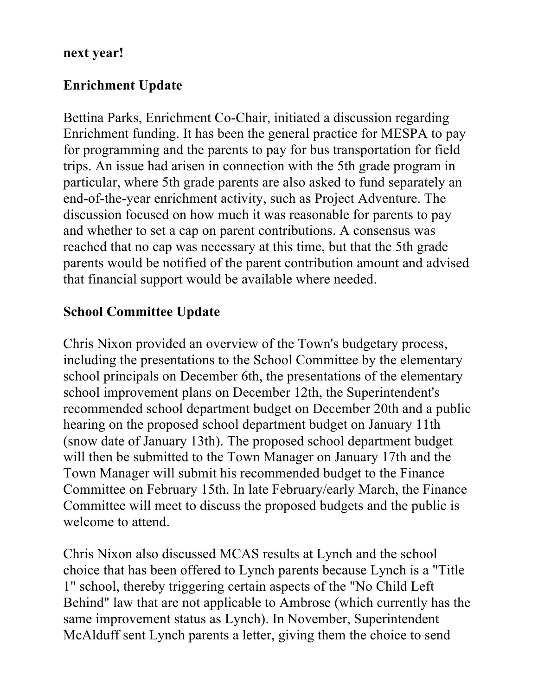#### **next year!**

#### **Enrichment Update**

Bettina Parks, Enrichment Co-Chair, initiated a discussion regarding Enrichment funding. It has been the general practice for MESPA to pay for programming and the parents to pay for bus transportation for field trips. An issue had arisen in connection with the 5th grade program in particular, where 5th grade parents are also asked to fund separately an end-of-the-year enrichment activity, such as Project Adventure. The discussion focused on how much it was reasonable for parents to pay and whether to set a cap on parent contributions. A consensus was reached that no cap was necessary at this time, but that the 5th grade parents would be notified of the parent contribution amount and advised that financial support would be available where needed.

#### **School Committee Update**

Chris Nixon provided an overview of the Town's budgetary process, including the presentations to the School Committee by the elementary school principals on December 6th, the presentations of the elementary school improvement plans on December 12th, the Superintendent's recommended school department budget on December 20th and a public hearing on the proposed school department budget on January 11th (snow date of January 13th). The proposed school department budget will then be submitted to the Town Manager on January 17th and the Town Manager will submit his recommended budget to the Finance Committee on February 15th. In late February/early March, the Finance Committee will meet to discuss the proposed budgets and the public is welcome to attend.

Chris Nixon also discussed MCAS results at Lynch and the school choice that has been offered to Lynch parents because Lynch is a "Title 1" school, thereby triggering certain aspects of the "No Child Left Behind" law that are not applicable to Ambrose (which currently has the same improvement status as Lynch). In November, Superintendent McAlduff sent Lynch parents a letter, giving them the choice to send